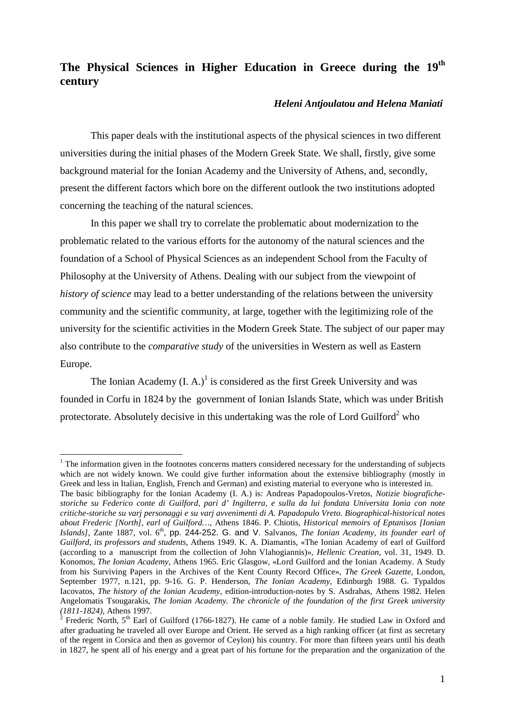## **The Physical Sciences in Higher Education in Greece during the 19th century**

## *Heleni Antjoulatou and Helena Maniati*

This paper deals with the institutional aspects of the physical sciences in two different universities during the initial phases of the Modern Greek State. We shall, firstly, give some background material for the Ionian Academy and the University of Athens, and, secondly, present the different factors which bore on the different outlook the two institutions adopted concerning the teaching of the natural sciences.

In this paper we shall try to correlate the problematic about modernization to the problematic related to the various efforts for the autonomy of the natural sciences and the foundation of a School of Physical Sciences as an independent School from the Faculty of Philosophy at the University of Athens. Dealing with our subject from the viewpoint of *history of science* may lead to a better understanding of the relations between the university community and the scientific community, at large, together with the legitimizing role of the university for the scientific activities in the Modern Greek State. The subject of our paper may also contribute to the *comparative study* of the universities in Western as well as Eastern Europe.

The Ionian Academy  $(I, A)$ <sup>1</sup> is considered as the first Greek University and was founded in Corfu in 1824 by the government of Ionian Islands State, which was under British protectorate. Absolutely decisive in this undertaking was the role of Lord Guilford<sup>2</sup> who

 $1$  The information given in the footnotes concerns matters considered necessary for the understanding of subjects which are not widely known. We could give further information about the extensive bibliography (mostly in Greek and less in Italian, English, French and German) and existing material to everyone who is interested in.

The basic bibliography for the Ionian Academy (I. A.) is: Andreas Papadopoulos-Vretos, *Notizie biografichestoriche su Federico conte di Guilford, pari d' Ingilterra, e sulla da lui fondata Universita Ionia con note critiche-storiche su varj personaggi e su varj avvenimenti di A. Papadopulo Vreto. Biographical-historical notes about Frederic [North], earl of Guilford…,* Athens 1846. P. Chiotis, *Historical memoirs of Eptanisos [Ionian Islands], Zante 1887, vol.*  $6<sup>th</sup>$ , pp. 244-252. G. and V. Salvanos, *The Ionian Academy, its founder earl of Guilford, its professors and students,* Athens 1949. K. A. Diamantis, «The Ionian Academy of earl of Guilford (according to a manuscript from the collection of John Vlahogiannis)», *Hellenic Creation,* vol. 31, 1949. D. Konomos, *The Ionian Academy,* Athens 1965. Eric Glasgow, «Lord Guilford and the Ionian Academy. A Study from his Surviving Papers in the Archives of the Kent County Record Office», *The Greek Gazette,* London, September 1977, n.121, pp. 9-16. G. P. Henderson, *The Ionian Academy,* Edinburgh 1988. G. Typaldos Iacovatos, *The history of the Ionian Academy,* edition-introduction-notes by S. Asdrahas, Athens 1982. Helen Angelomatis Tsougarakis, *The Ionian Academy. The chronicle of the foundation of the first Greek university (1811-1824),* Athens 1997. <sup>2</sup>

Frederic North,  $5<sup>th</sup>$  Earl of Guilford (1766-1827). He came of a noble family. He studied Law in Oxford and after graduating he traveled all over Europe and Orient. He served as a high ranking officer (at first as secretary of the regent in Corsica and then as governor of Ceylon) his country. For more than fifteen years until his death in 1827, he spent all of his energy and a great part of his fortune for the preparation and the organization of the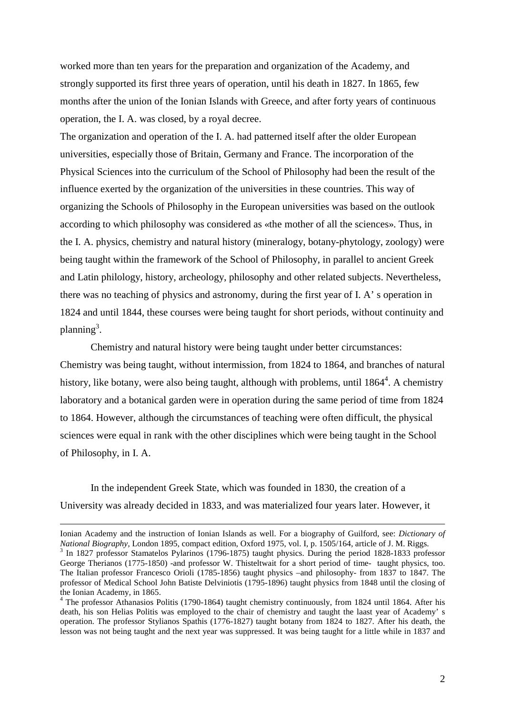worked more than ten years for the preparation and organization of the Academy, and strongly supported its first three years of operation, until his death in 1827. In 1865, few months after the union of the Ionian Islands with Greece, and after forty years of continuous operation, the I. A. was closed, by a royal decree.

The organization and operation of the I. A. had patterned itself after the older European universities, especially those of Britain, Germany and France. The incorporation of the Physical Sciences into the curriculum of the School of Philosophy had been the result of the influence exerted by the organization of the universities in these countries. This way of organizing the Schools of Philosophy in the European universities was based on the outlook according to which philosophy was considered as «the mother of all the sciences». Thus, in the I. A. physics, chemistry and natural history (mineralogy, botany-phytology, zoology) were being taught within the framework of the School of Philosophy, in parallel to ancient Greek and Latin philology, history, archeology, philosophy and other related subjects. Nevertheless, there was no teaching of physics and astronomy, during the first year of I. A' s operation in 1824 and until 1844, these courses were being taught for short periods, without continuity and planning<sup>3</sup>.

Chemistry and natural history were being taught under better circumstances: Chemistry was being taught, without intermission, from 1824 to 1864, and branches of natural history, like botany, were also being taught, although with problems, until 1864<sup>4</sup>. A chemistry laboratory and a botanical garden were in operation during the same period of time from 1824 to 1864. However, although the circumstances of teaching were often difficult, the physical sciences were equal in rank with the other disciplines which were being taught in the School of Philosophy, in I. A.

In the independent Greek State, which was founded in 1830, the creation of a University was already decided in 1833, and was materialized four years later. However, it

1

Ionian Academy and the instruction of Ionian Islands as well. For a biography of Guilford, see: *Dictionary of National Biography, London 1895, compact edition, Oxford 1975, vol. I, p. 1505/164, article of J. M. Riggs.* 

<sup>&</sup>lt;sup>3</sup> In 1827 professor Stamatelos Pylarinos (1796-1875) taught physics. During the period 1828-1833 professor George Therianos (1775-1850) -and professor W. Thisteltwait for a short period of time- taught physics, too. The Italian professor Francesco Orioli (1785-1856) taught physics –and philosophy- from 1837 to 1847. The professor of Medical School John Batiste Delviniotis (1795-1896) taught physics from 1848 until the closing of the Ionian Academy, in 1865.

<sup>&</sup>lt;sup>4</sup> The professor Athanasios Politis (1790-1864) taught chemistry continuously, from 1824 until 1864. After his death, his son Helias Politis was employed to the chair of chemistry and taught the laast year of Academy' s operation. The professor Stylianos Spathis (1776-1827) taught botany from 1824 to 1827. After his death, the lesson was not being taught and the next year was suppressed. It was being taught for a little while in 1837 and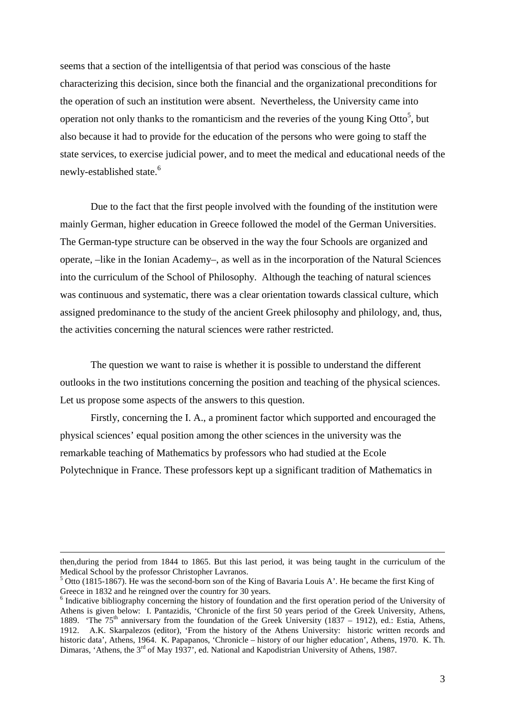seems that a section of the intelligentsia of that period was conscious of the haste characterizing this decision, since both the financial and the organizational preconditions for the operation of such an institution were absent. Nevertheless, the University came into operation not only thanks to the romanticism and the reveries of the young King Otto<sup>5</sup>, but also because it had to provide for the education of the persons who were going to staff the state services, to exercise judicial power, and to meet the medical and educational needs of the newly-established state.<sup>6</sup>

Due to the fact that the first people involved with the founding of the institution were mainly German, higher education in Greece followed the model of the German Universities. The German-type structure can be observed in the way the four Schools are organized and operate, –like in the Ionian Academy–, as well as in the incorporation of the Natural Sciences into the curriculum of the School of Philosophy. Although the teaching of natural sciences was continuous and systematic, there was a clear orientation towards classical culture, which assigned predominance to the study of the ancient Greek philosophy and philology, and, thus, the activities concerning the natural sciences were rather restricted.

The question we want to raise is whether it is possible to understand the different outlooks in the two institutions concerning the position and teaching of the physical sciences. Let us propose some aspects of the answers to this question.

Firstly, concerning the I. A., a prominent factor which supported and encouraged the physical sciences' equal position among the other sciences in the university was the remarkable teaching of Mathematics by professors who had studied at the Ecole Polytechnique in France. These professors kept up a significant tradition of Mathematics in

<u>.</u>

then,during the period from 1844 to 1865. But this last period, it was being taught in the curriculum of the Medical School by the professor Christopher Lavranos.

<sup>&</sup>lt;sup>5</sup> Otto (1815-1867). He was the second-born son of the King of Bavaria Louis A'. He became the first King of Greece in 1832 and he reingned over the country for 30 years.

 $\delta$  Indicative bibliography concerning the history of foundation and the first operation period of the University of Athens is given below: I. Pantazidis, 'Chronicle of the first 50 years period of the Greek University, Athens, 1889. 'The 75<sup>th</sup> anniversary from the foundation of the Greek University (1837 – 1912), ed.: Estia, Athens, 1912. A.K. Skarpalezos (editor), 'From the history of the Athens University: historic written records and historic data', Athens, 1964. K. Papapanos, 'Chronicle – history of our higher education', Athens, 1970. K. Th. Dimaras, 'Athens, the 3<sup>rd</sup> of May 1937', ed. National and Kapodistrian University of Athens, 1987.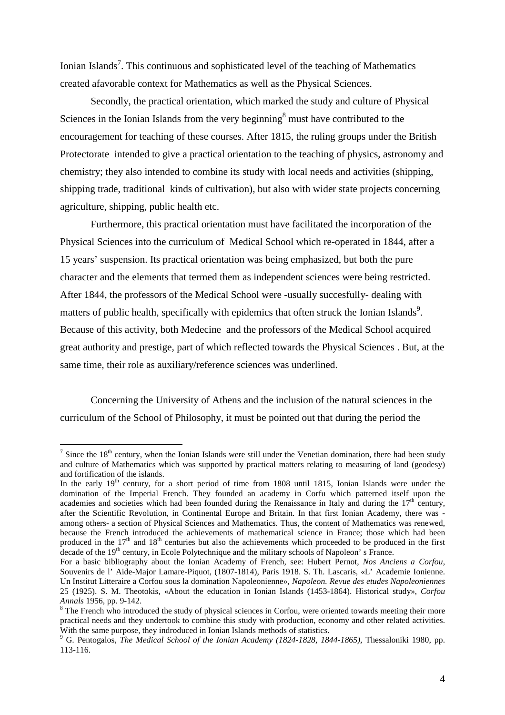Ionian Islands<sup>7</sup>. This continuous and sophisticated level of the teaching of Mathematics created afavorable context for Mathematics as well as the Physical Sciences.

Secondly, the practical orientation, which marked the study and culture of Physical Sciences in the Ionian Islands from the very beginning<sup>8</sup> must have contributed to the encouragement for teaching of these courses. After 1815, the ruling groups under the British Protectorate intended to give a practical orientation to the teaching of physics, astronomy and chemistry; they also intended to combine its study with local needs and activities (shipping, shipping trade, traditional kinds of cultivation), but also with wider state projects concerning agriculture, shipping, public health etc.

Furthermore, this practical orientation must have facilitated the incorporation of the Physical Sciences into the curriculum of Medical School which re-operated in 1844, after a 15 years' suspension. Its practical orientation was being emphasized, but both the pure character and the elements that termed them as independent sciences were being restricted. After 1844, the professors of the Medical School were -usually succesfully- dealing with matters of public health, specifically with epidemics that often struck the Ionian Islands<sup>9</sup>. Because of this activity, both Medecine and the professors of the Medical School acquired great authority and prestige, part of which reflected towards the Physical Sciences . But, at the same time, their role as auxiliary/reference sciences was underlined.

Concerning the University of Athens and the inclusion of the natural sciences in the curriculum of the School of Philosophy, it must be pointed out that during the period the

<sup>&</sup>lt;sup>7</sup> Since the 18<sup>th</sup> century, when the Ionian Islands were still under the Venetian domination, there had been study and culture of Mathematics which was supported by practical matters relating to measuring of land (geodesy) and fortification of the islands.

In the early  $19<sup>th</sup>$  century, for a short period of time from 1808 until 1815. Ionian Islands were under the domination of the Imperial French. They founded an academy in Corfu which patterned itself upon the academies and societies which had been founded during the Renaissance in Italy and during the  $17<sup>th</sup>$  century, after the Scientific Revolution, in Continental Europe and Britain. In that first Ionian Academy, there was among others- a section of Physical Sciences and Mathematics. Thus, the content of Mathematics was renewed, because the French introduced the achievements of mathematical science in France; those which had been produced in the  $17<sup>th</sup>$  and  $18<sup>th</sup>$  centuries but also the achievements which proceeded to be produced in the first decade of the 19<sup>th</sup> century, in Ecole Polytechnique and the military schools of Napoleon' s France.

For a basic bibliography about the Ionian Academy of French, see: Hubert Pernot, *Nos Anciens a Corfou,* Souvenirs de l' Aide-Major Lamare-Piquot, (1807-1814), Paris 1918. S. Th. Lascaris, «L' Academie Ionienne. Un Institut Litteraire a Corfou sous la domination Napoleonienne», *Napoleon. Revue des etudes Napoleoniennes* 25 (1925). S. M. Theotokis, «About the education in Ionian Islands (1453-1864). Historical study», *Corfou Annals* 1956, pp. 9-142. <sup>8</sup>

 $8$  The French who introduced the study of physical sciences in Corfou, were oriented towards meeting their more practical needs and they undertook to combine this study with production, economy and other related activities. With the same purpose, they indroduced in Ionian Islands methods of statistics.

<sup>&</sup>lt;sup>9</sup> G. Pentogalos, *The Medical School of the Ionian Academy (1824-1828, 1844-1865)*, Thessaloniki 1980, pp. 113-116.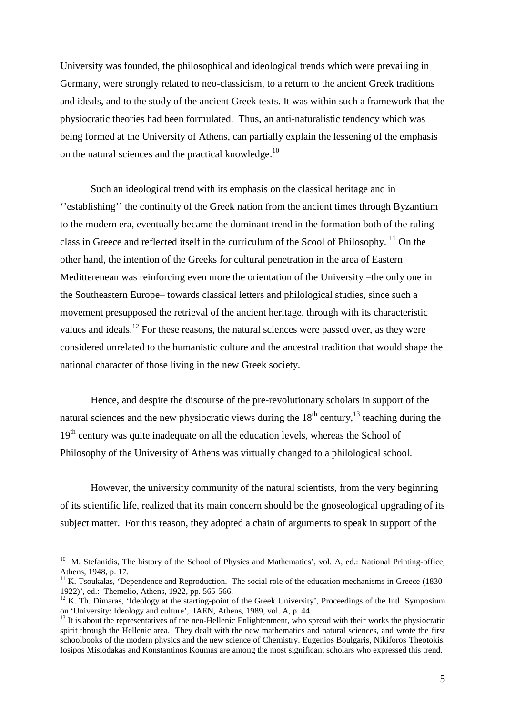University was founded, the philosophical and ideological trends which were prevailing in Germany, were strongly related to neo-classicism, to a return to the ancient Greek traditions and ideals, and to the study of the ancient Greek texts. It was within such a framework that the physiocratic theories had been formulated. Thus, an anti-naturalistic tendency which was being formed at the University of Athens, can partially explain the lessening of the emphasis on the natural sciences and the practical knowledge.<sup>10</sup>

Such an ideological trend with its emphasis on the classical heritage and in ''establishing'' the continuity of the Greek nation from the ancient times through Byzantium to the modern era, eventually became the dominant trend in the formation both of the ruling class in Greece and reflected itself in the curriculum of the Scool of Philosophy. 11 On the other hand, the intention of the Greeks for cultural penetration in the area of Eastern Meditterenean was reinforcing even more the orientation of the University –the only one in the Southeastern Europe– towards classical letters and philological studies, since such a movement presupposed the retrieval of the ancient heritage, through with its characteristic values and ideals.<sup>12</sup> For these reasons, the natural sciences were passed over, as they were considered unrelated to the humanistic culture and the ancestral tradition that would shape the national character of those living in the new Greek society.

Hence, and despite the discourse of the pre-revolutionary scholars in support of the natural sciences and the new physiocratic views during the  $18<sup>th</sup>$  century,  $13$  teaching during the 19<sup>th</sup> century was quite inadequate on all the education levels, whereas the School of Philosophy of the University of Athens was virtually changed to a philological school.

However, the university community of the natural scientists, from the very beginning of its scientific life, realized that its main concern should be the gnoseological upgrading of its subject matter. For this reason, they adopted a chain of arguments to speak in support of the

<sup>&</sup>lt;sup>10</sup> M. Stefanidis, The history of the School of Physics and Mathematics', vol. A, ed.: National Printing-office, Athens, 1948, p. 17.

 $11$  K. Tsoukalas, 'Dependence and Reproduction. The social role of the education mechanisms in Greece (1830-1922)', ed.: Themelio, Athens, 1922, pp. 565-566.

 $12$  K. Th. Dimaras, 'Ideology at the starting-point of the Greek University', Proceedings of the Intl. Symposium on 'University: Ideology and culture', IAEN, Athens, 1989, vol. A, p. 44.

 $^{13}$  It is about the representatives of the neo-Hellenic Enlightenment, who spread with their works the physiocratic spirit through the Hellenic area. They dealt with the new mathematics and natural sciences, and wrote the first schoolbooks of the modern physics and the new science of Chemistry. Eugenios Boulgaris, Nikiforos Theotokis, Iosipos Misiodakas and Konstantinos Koumas are among the most significant scholars who expressed this trend.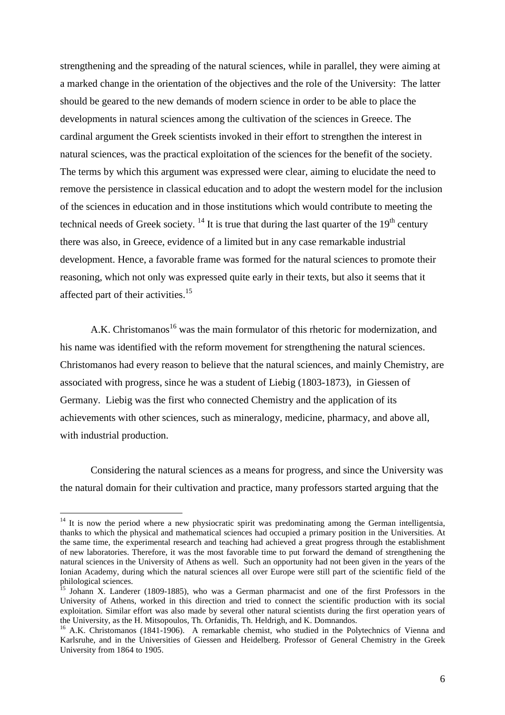strengthening and the spreading of the natural sciences, while in parallel, they were aiming at a marked change in the orientation of the objectives and the role of the University: The latter should be geared to the new demands of modern science in order to be able to place the developments in natural sciences among the cultivation of the sciences in Greece. The cardinal argument the Greek scientists invoked in their effort to strengthen the interest in natural sciences, was the practical exploitation of the sciences for the benefit of the society. The terms by which this argument was expressed were clear, aiming to elucidate the need to remove the persistence in classical education and to adopt the western model for the inclusion of the sciences in education and in those institutions which would contribute to meeting the technical needs of Greek society.  $^{14}$  It is true that during the last quarter of the 19<sup>th</sup> century there was also, in Greece, evidence of a limited but in any case remarkable industrial development. Hence, a favorable frame was formed for the natural sciences to promote their reasoning, which not only was expressed quite early in their texts, but also it seems that it affected part of their activities.<sup>15</sup>

A.K. Christomanos<sup>16</sup> was the main formulator of this rhetoric for modernization, and his name was identified with the reform movement for strengthening the natural sciences. Christomanos had every reason to believe that the natural sciences, and mainly Chemistry, are associated with progress, since he was a student of Liebig (1803-1873), in Giessen of Germany. Liebig was the first who connected Chemistry and the application of its achievements with other sciences, such as mineralogy, medicine, pharmacy, and above all, with industrial production.

Considering the natural sciences as a means for progress, and since the University was the natural domain for their cultivation and practice, many professors started arguing that the

 $14$  It is now the period where a new physiocratic spirit was predominating among the German intelligentsia, thanks to which the physical and mathematical sciences had occupied a primary position in the Universities. At the same time, the experimental research and teaching had achieved a great progress through the establishment of new laboratories. Therefore, it was the most favorable time to put forward the demand of strengthening the natural sciences in the University of Athens as well. Such an opportunity had not been given in the years of the Ionian Academy, during which the natural sciences all over Europe were still part of the scientific field of the philological sciences.

<sup>&</sup>lt;sup>15</sup> Johann X. Landerer (1809-1885), who was a German pharmacist and one of the first Professors in the University of Athens, worked in this direction and tried to connect the scientific production with its social exploitation. Similar effort was also made by several other natural scientists during the first operation years of the University, as the H. Mitsopoulos, Th. Orfanidis, Th. Heldrigh, and K. Domnandos.

<sup>&</sup>lt;sup>16</sup> A.K. Christomanos (1841-1906). A remarkable chemist, who studied in the Polytechnics of Vienna and Karlsruhe, and in the Universities of Giessen and Heidelberg. Professor of General Chemistry in the Greek University from 1864 to 1905.